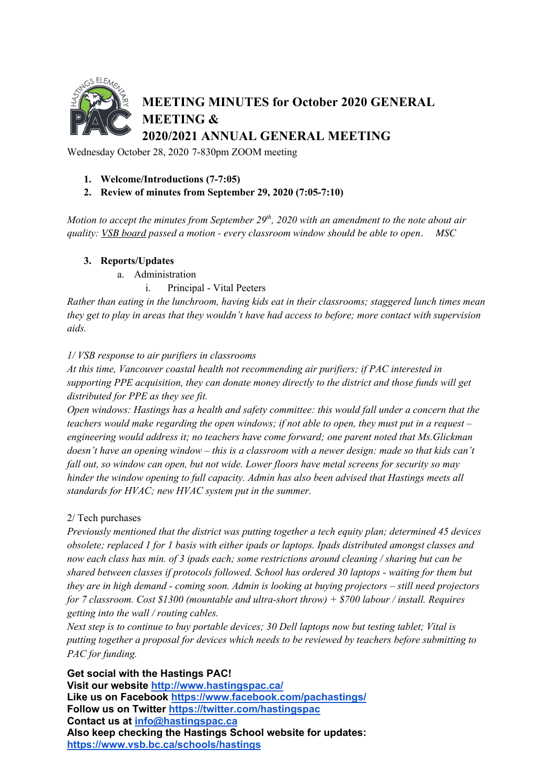

Wednesday October 28, 2020 7-830pm ZOOM meeting

## **1. Welcome/Introductions (7-7:05)**

## **2. Review of minutes from September 29, 2020 (7:05-7:10)**

*Motion to accept the minutes from September 29<sup>th</sup>, 2020 with an amendment to the note about air quality: VSB board passed a motion - every classroom window should be able to open. MSC*

## **3. Reports/Updates**

a. Administration

## i. Principal - Vital Peeters

*Rather than eating in the lunchroom, having kids eat in their classrooms; staggered lunch times mean they get to play in areas that they wouldn't have had access to before; more contact with supervision aids.* 

## *1/ VSB response to air purifiers in classrooms*

*At this time, Vancouver coastal health not recommending air purifiers; if PAC interested in supporting PPE acquisition, they can donate money directly to the district and those funds will get distributed for PPE as they see fit.* 

*Open windows: Hastings has a health and safety committee: this would fall under a concern that the teachers would make regarding the open windows; if not able to open, they must put in a request – engineering would address it; no teachers have come forward; one parent noted that Ms.Glickman doesn't have an opening window – this is a classroom with a newer design: made so that kids can't fall out, so window can open, but not wide. Lower floors have metal screens for security so may hinder the window opening to full capacity. Admin has also been advised that Hastings meets all standards for HVAC; new HVAC system put in the summer.*

## 2/ Tech purchases

*Previously mentioned that the district was putting together a tech equity plan; determined 45 devices obsolete; replaced 1 for 1 basis with either ipads or laptops. Ipads distributed amongst classes and now each class has min. of 3 ipads each; some restrictions around cleaning / sharing but can be shared between classes if protocols followed. School has ordered 30 laptops - waiting for them but they are in high demand - coming soon. Admin is looking at buying projectors – still need projectors for 7 classroom. Cost \$1300 (mountable and ultra-short throw) + \$700 labour / install. Requires getting into the wall / routing cables.*

*Next step is to continue to buy portable devices; 30 Dell laptops now but testing tablet; Vital is putting together a proposal for devices which needs to be reviewed by teachers before submitting to PAC for funding.*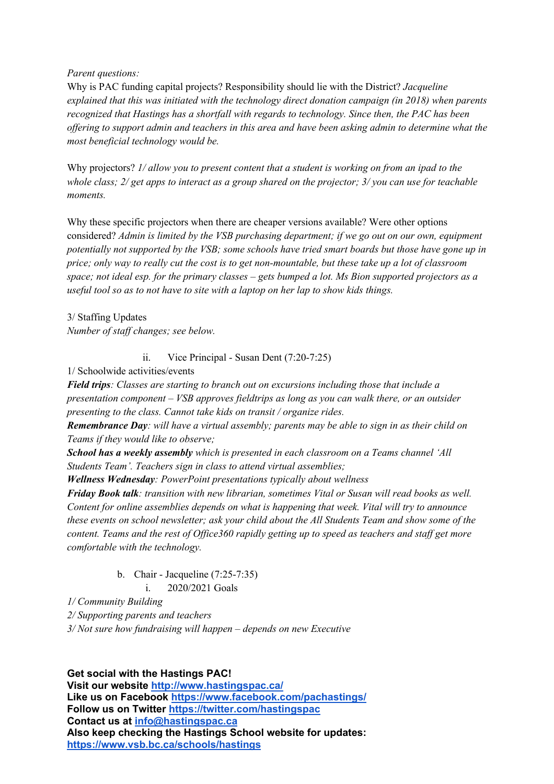## *Parent questions:*

Why is PAC funding capital projects? Responsibility should lie with the District? *Jacqueline explained that this was initiated with the technology direct donation campaign (in 2018) when parents recognized that Hastings has a shortfall with regards to technology. Since then, the PAC has been offering to support admin and teachers in this area and have been asking admin to determine what the most beneficial technology would be.* 

Why projectors? *1/ allow you to present content that a student is working on from an ipad to the whole class; 2/ get apps to interact as a group shared on the projector; 3/ you can use for teachable moments.*

Why these specific projectors when there are cheaper versions available? Were other options considered? *Admin is limited by the VSB purchasing department; if we go out on our own, equipment potentially not supported by the VSB; some schools have tried smart boards but those have gone up in price; only way to really cut the cost is to get non-mountable, but these take up a lot of classroom space; not ideal esp. for the primary classes – gets bumped a lot. Ms Bion supported projectors as a useful tool so as to not have to site with a laptop on her lap to show kids things.*

3/ Staffing Updates *Number of staff changes; see below.*

ii. Vice Principal - Susan Dent (7:20-7:25)

1/ Schoolwide activities/events

*Field trips: Classes are starting to branch out on excursions including those that include a presentation component – VSB approves fieldtrips as long as you can walk there, or an outsider presenting to the class. Cannot take kids on transit / organize rides.* 

*Remembrance Day: will have a virtual assembly; parents may be able to sign in as their child on Teams if they would like to observe;* 

*School has a weekly assembly which is presented in each classroom on a Teams channel 'All Students Team'. Teachers sign in class to attend virtual assemblies;* 

*Wellness Wednesday: PowerPoint presentations typically about wellness*

*Friday Book talk: transition with new librarian, sometimes Vital or Susan will read books as well. Content for online assemblies depends on what is happening that week. Vital will try to announce these events on school newsletter; ask your child about the All Students Team and show some of the content. Teams and the rest of Office360 rapidly getting up to speed as teachers and staff get more comfortable with the technology.*

b. Chair - Jacqueline (7:25-7:35)

i. 2020/2021 Goals

*1/ Community Building*

*2/ Supporting parents and teachers*

*3/ Not sure how fundraising will happen – depends on new Executive*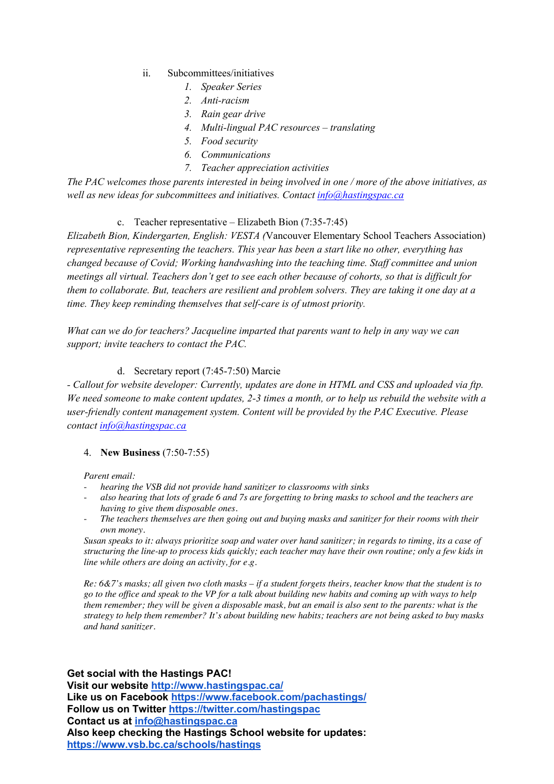- ii. Subcommittees/initiatives
	- *1. Speaker Series*
	- *2. Anti-racism*
	- *3. Rain gear drive*
	- *4. Multi-lingual PAC resources – translating*
	- *5. Food security*
	- *6. Communications*
	- *7. Teacher appreciation activities*

*The PAC welcomes those parents interested in being involved in one / more of the above initiatives, as well as new ideas for subcommittees and initiatives. Contact info@hastingspac.ca*

# c. Teacher representative – Elizabeth Bion (7:35-7:45)

*Elizabeth Bion, Kindergarten, English: VESTA (*Vancouver Elementary School Teachers Association) *representative representing the teachers. This year has been a start like no other, everything has changed because of Covid; Working handwashing into the teaching time. Staff committee and union meetings all virtual. Teachers don't get to see each other because of cohorts, so that is difficult for them to collaborate. But, teachers are resilient and problem solvers. They are taking it one day at a time. They keep reminding themselves that self-care is of utmost priority.*

*What can we do for teachers? Jacqueline imparted that parents want to help in any way we can support; invite teachers to contact the PAC.*

# d. Secretary report (7:45-7:50) Marcie

*- Callout for website developer: Currently, updates are done in HTML and CSS and uploaded via ftp. We need someone to make content updates, 2-3 times a month, or to help us rebuild the website with a user-friendly content management system. Content will be provided by the PAC Executive. Please contact info@hastingspac.ca*

# 4. **New Business** (7:50-7:55)

*Parent email:*

- *hearing the VSB did not provide hand sanitizer to classrooms with sinks*
- *also hearing that lots of grade 6 and 7s are forgetting to bring masks to school and the teachers are having to give them disposable ones.*
- *The teachers themselves are then going out and buying masks and sanitizer for their rooms with their own money.*

*Susan speaks to it: always prioritize soap and water over hand sanitizer; in regards to timing, its a case of structuring the line-up to process kids quickly; each teacher may have their own routine; only a few kids in line while others are doing an activity, for e.g.*

*Re: 6&7's masks; all given two cloth masks – if a student forgets theirs, teacher know that the student is to go to the office and speak to the VP for a talk about building new habits and coming up with ways to help them remember; they will be given a disposable mask, but an email is also sent to the parents: what is the strategy to help them remember? It's about building new habits; teachers are not being asked to buy masks and hand sanitizer.*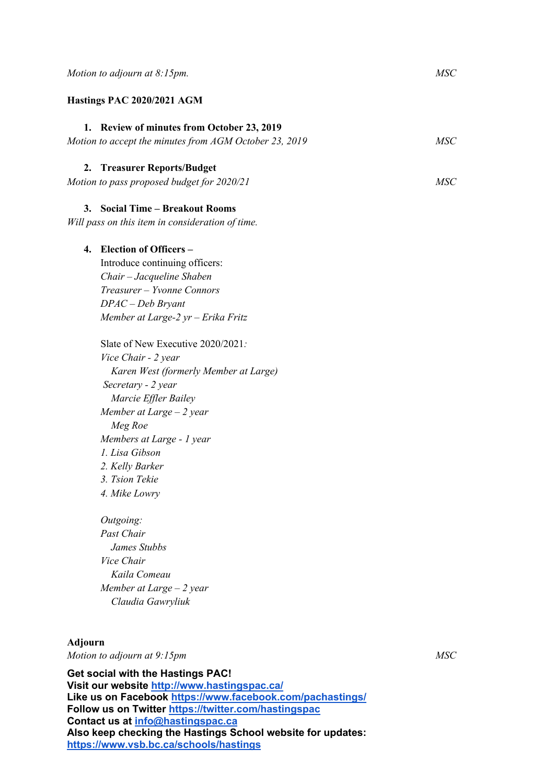#### **Hastings PAC 2020/2021 AGM**

## **1. Review of minutes from October 23, 2019**

# *Motion to accept the minutes from AGM October 23, 2019 MSC*

# **2. Treasurer Reports/Budget**

*Motion to pass proposed budget for 2020/21 MSC*

# **3. Social Time – Breakout Rooms**

*Will pass on this item in consideration of time.*

## **4. Election of Officers –**

Introduce continuing officers: *Chair – Jacqueline Shaben Treasurer – Yvonne Connors DPAC – Deb Bryant Member at Large-2 yr – Erika Fritz*

Slate of New Executive 2020/2021*: Vice Chair - 2 year Karen West (formerly Member at Large) Secretary - 2 year Marcie Effler Bailey Member at Large – 2 year Meg Roe Members at Large - 1 year 1. Lisa Gibson 2. Kelly Barker 3. Tsion Tekie 4. Mike Lowry*

*Outgoing: Past Chair James Stubbs Vice Chair Kaila Comeau Member at Large – 2 year Claudia Gawryliuk*

#### **Adjourn**

*Motion to adjourn at 9:15pm MSC*